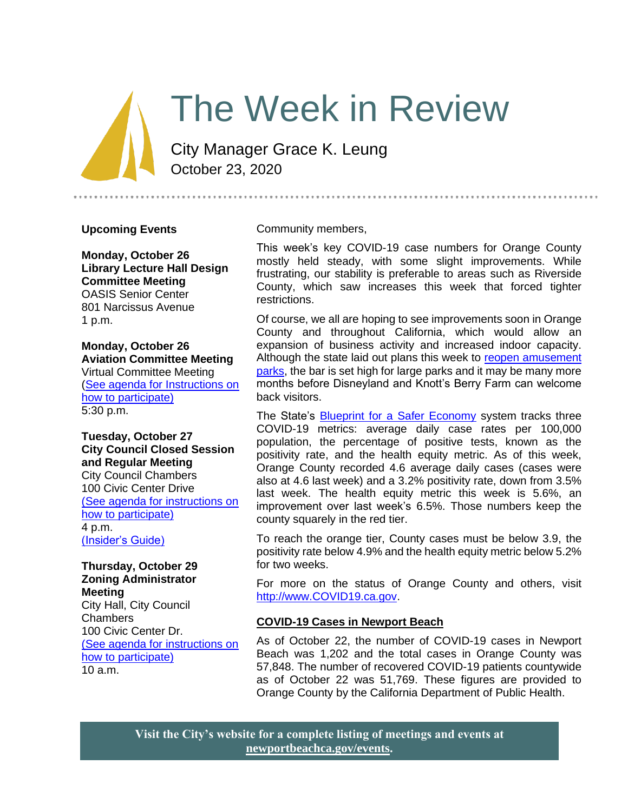# The Week in Review

City Manager Grace K. Leung October 23, 2020

#### **Upcoming Events**

**Monday, October 26 Library Lecture Hall Design Committee Meeting** OASIS Senior Center 801 Narcissus Avenue 1 p.m.

**Monday, October 26 Aviation Committee Meeting** Virtual Committee Meeting [\(See agenda for Instructions on](https://newportbeach.legistar.com/Calendar.aspx)  [how to participate\)](https://newportbeach.legistar.com/Calendar.aspx) 5:30 p.m.

**Tuesday, October 27 City Council Closed Session and Regular Meeting** City Council Chambers 100 Civic Center Drive [\(See agenda for instructions on](https://newportbeachca.gov/Home/Components/Calendar/Event/64212/72)  [how to participate\)](https://newportbeachca.gov/Home/Components/Calendar/Event/64212/72) 4 p.m. [\(Insider's Guide\)](https://newportbeachca.gov/government/departments/city-manager-s-office/insider-s-guide)

#### **Thursday, October 29 Zoning Administrator Meeting**

City Hall, City Council Chambers 100 Civic Center Dr. [\(See agenda for instructions on](https://www.newportbeachca.gov/government/departments/community-development/planning-division/zoning-administrator)  [how to participate\)](https://www.newportbeachca.gov/government/departments/community-development/planning-division/zoning-administrator) 10 a.m.

Community members,

This week's key COVID-19 case numbers for Orange County mostly held steady, with some slight improvements. While frustrating, our stability is preferable to areas such as Riverside County, which saw increases this week that forced tighter restrictions.

.....................................

Of course, we all are hoping to see improvements soon in Orange County and throughout California, which would allow an expansion of business activity and increased indoor capacity. Although the state laid out plans this week to [reopen amusement](https://files.covid19.ca.gov/pdf/guidance-amusement-theme-parks--en.pdf)  [parks,](https://files.covid19.ca.gov/pdf/guidance-amusement-theme-parks--en.pdf) the bar is set high for large parks and it may be many more months before Disneyland and Knott's Berry Farm can welcome back visitors.

The State's [Blueprint for a Safer Economy](https://covid19.ca.gov/safer-economy/) system tracks three COVID-19 metrics: average daily case rates per 100,000 population, the percentage of positive tests, known as the positivity rate, and the health equity metric. As of this week, Orange County recorded 4.6 average daily cases (cases were also at 4.6 last week) and a 3.2% positivity rate, down from 3.5% last week. The health equity metric this week is 5.6%, an improvement over last week's 6.5%. Those numbers keep the county squarely in the red tier.

To reach the orange tier, County cases must be below 3.9, the positivity rate below 4.9% and the health equity metric below 5.2% for two weeks.

For more on the status of Orange County and others, visit [http://www.COVID19.ca.gov.](http://www.covid19.ca.gov/)

### **COVID-19 Cases in Newport Beach**

As of October 22, the number of COVID-19 cases in Newport Beach was 1,202 and the total cases in Orange County was 57,848. The number of recovered COVID-19 patients countywide as of October 22 was 51,769. These figures are provided to Orange County by the California Department of Public Health.

**Visit the City's website for a complete listing of meetings and events at [newportbeachca.gov/events.](https://www.newportbeachca.gov/government/open-government/city-calendar)**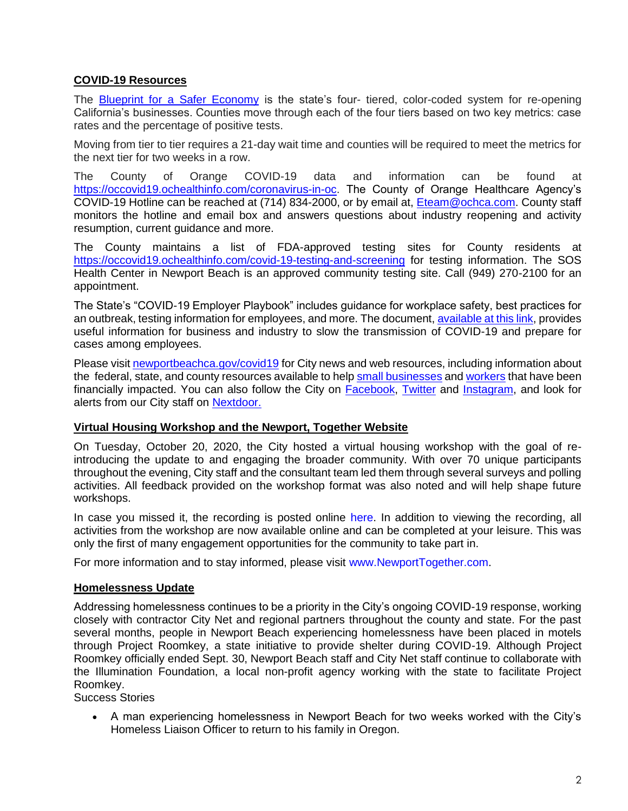# **COVID-19 Resources**

The [Blueprint for a Safer Economy](https://covid19.ca.gov/safer-economy/) is the state's four- tiered, color-coded system for re-opening California's businesses. Counties move through each of the four tiers based on two key metrics: case rates and the percentage of positive tests.

Moving from tier to tier requires a 21-day wait time and counties will be required to meet the metrics for the next tier for two weeks in a row.

The County of Orange COVID-19 data and information can be found at [https://occovid19.ochealthinfo.com/coronavirus-in-oc.](https://occovid19.ochealthinfo.com/coronavirus-in-oc) The County of Orange Healthcare Agency's COVID-19 Hotline can be reached at (714) 834-2000, or by email at, [Eteam@ochca.com.](mailto:Eteam@ochca.com) County staff monitors the hotline and email box and answers questions about industry reopening and activity resumption, current guidance and more.

The County maintains a list of FDA-approved testing sites for County residents at <https://occovid19.ochealthinfo.com/covid-19-testing-and-screening> for testing information. The SOS Health Center in Newport Beach is an approved community testing site. Call (949) 270-2100 for an appointment.

The State's "COVID-19 Employer Playbook" includes guidance for workplace safety, best practices for an outbreak, testing information for employees, and more. The document[, available at this link,](https://files.covid19.ca.gov/pdf/employer-playbook-for-safe-reopening--en.pdf) provides useful information for business and industry to slow the transmission of COVID-19 and prepare for cases among employees.

Please visi[t newportbeachca.gov/covid19](https://www.newportbeachca.gov/how-do-i/find/disaster-preparedness-information/disease-outbreak/-fsiteid-1) for City news and web resources, including information about the federal, state, and county resources available to help [small businesses](https://www.newportbeachca.gov/government/departments/city-manager/economic-development/small-business-support) an[d workers](https://www.newportbeachca.gov/government/departments/city-manager/economic-development/support-for-employees) that have been financially impacted. You can also follow the City on [Facebook,](https://www.facebook.com/pg/CityofNewportBeach) [Twitter](https://twitter.com/newportbeachgov) and [Instagram,](https://www.instagram.com/cityofnewportbeach/) and look for alerts from our City staff on [Nextdoor.](https://nextdoor.com/agency/city-of-newport-beach/?i=ltdytbjdbdkntfqttgcm)

## **Virtual Housing Workshop and the Newport, Together Website**

On Tuesday, October 20, 2020, the City hosted a virtual housing workshop with the goal of reintroducing the update to and engaging the broader community. With over 70 unique participants throughout the evening, City staff and the consultant team led them through several surveys and polling activities. All feedback provided on the workshop format was also noted and will help shape future workshops.

In case you missed it, the recording is posted online [here.](https://www.newporttogether.com/virtual_workshop) In addition to viewing the recording, all activities from the workshop are now available online and can be completed at your leisure. This was only the first of many engagement opportunities for the community to take part in.

For more information and to stay informed, please visit [www.NewportTogether.com.](http://www.newporttogether.com/)

## **Homelessness Update**

Addressing homelessness continues to be a priority in the City's ongoing COVID-19 response, working closely with contractor City Net and regional partners throughout the county and state. For the past several months, people in Newport Beach experiencing homelessness have been placed in motels through Project Roomkey, a state initiative to provide shelter during COVID-19. Although Project Roomkey officially ended Sept. 30, Newport Beach staff and City Net staff continue to collaborate with the Illumination Foundation, a local non-profit agency working with the state to facilitate Project Roomkey.

Success Stories

• A man experiencing homelessness in Newport Beach for two weeks worked with the City's Homeless Liaison Officer to return to his family in Oregon.